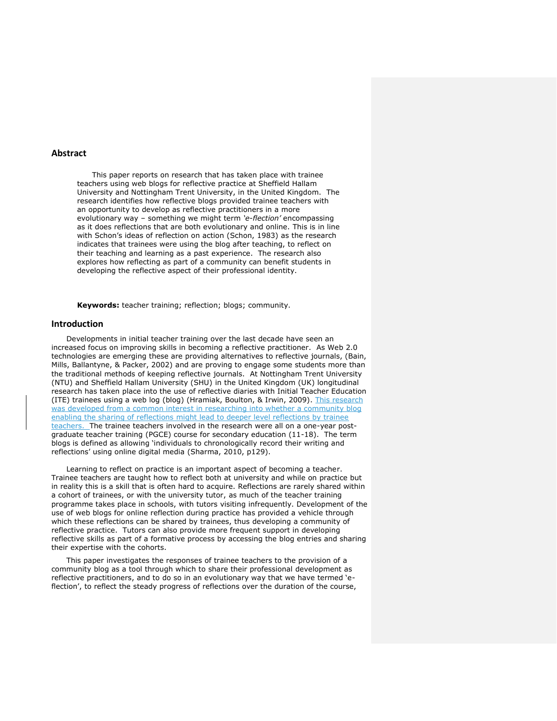## **Abstract**

 This paper reports on research that has taken place with trainee teachers using web blogs for reflective practice at Sheffield Hallam University and Nottingham Trent University, in the United Kingdom. The research identifies how reflective blogs provided trainee teachers with an opportunity to develop as reflective practitioners in a more evolutionary way – something we might term *'e-flection'* encompassing as it does reflections that are both evolutionary and online. This is in line with Schon's ideas of reflection on action (Schon, 1983) as the research indicates that trainees were using the blog after teaching, to reflect on their teaching and learning as a past experience. The research also explores how reflecting as part of a community can benefit students in developing the reflective aspect of their professional identity.

**Keywords:** teacher training; reflection; blogs; community.

### **Introduction**

 Developments in initial teacher training over the last decade have seen an increased focus on improving skills in becoming a reflective practitioner. As Web 2.0 technologies are emerging these are providing alternatives to reflective journals, (Bain, Mills, Ballantyne, & Packer, 2002) and are proving to engage some students more than the traditional methods of keeping reflective journals. At Nottingham Trent University (NTU) and Sheffield Hallam University (SHU) in the United Kingdom (UK) longitudinal research has taken place into the use of reflective diaries with Initial Teacher Education (ITE) trainees using a web log (blog) (Hramiak, Boulton, & Irwin, 2009). This research was developed from a common interest in researching into whether a community blog enabling the sharing of reflections might lead to deeper level reflections by trainee teachers. The trainee teachers involved in the research were all on a one-year postgraduate teacher training (PGCE) course for secondary education (11-18). The term blogs is defined as allowing 'individuals to chronologically record their writing and reflections' using online digital media (Sharma, 2010, p129).

 Learning to reflect on practice is an important aspect of becoming a teacher. Trainee teachers are taught how to reflect both at university and while on practice but in reality this is a skill that is often hard to acquire. Reflections are rarely shared within a cohort of trainees, or with the university tutor, as much of the teacher training programme takes place in schools, with tutors visiting infrequently. Development of the use of web blogs for online reflection during practice has provided a vehicle through which these reflections can be shared by trainees, thus developing a community of reflective practice. Tutors can also provide more frequent support in developing reflective skills as part of a formative process by accessing the blog entries and sharing their expertise with the cohorts.

 This paper investigates the responses of trainee teachers to the provision of a community blog as a tool through which to share their professional development as reflective practitioners, and to do so in an evolutionary way that we have termed 'eflection', to reflect the steady progress of reflections over the duration of the course,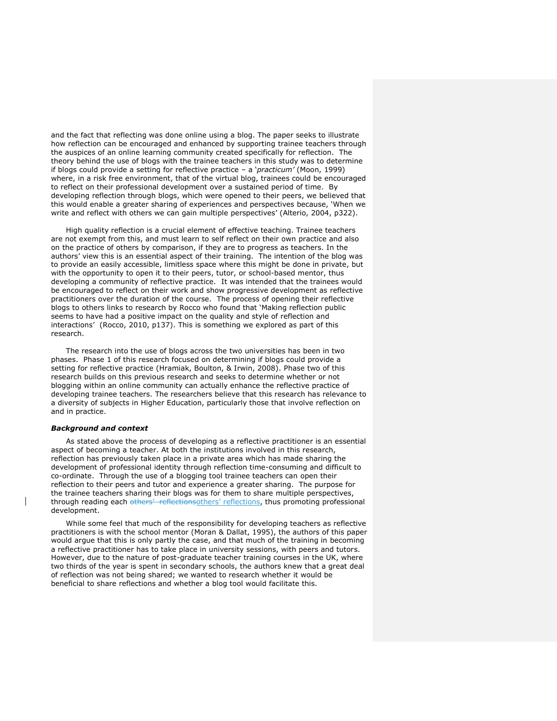and the fact that reflecting was done online using a blog. The paper seeks to illustrate how reflection can be encouraged and enhanced by supporting trainee teachers through the auspices of an online learning community created specifically for reflection. The theory behind the use of blogs with the trainee teachers in this study was to determine if blogs could provide a setting for reflective practice – a '*practicum'* (Moon, 1999) where, in a risk free environment, that of the virtual blog, trainees could be encouraged to reflect on their professional development over a sustained period of time. By developing reflection through blogs, which were opened to their peers, we believed that this would enable a greater sharing of experiences and perspectives because, 'When we write and reflect with others we can gain multiple perspectives' (Alterio, 2004, p322).

 High quality reflection is a crucial element of effective teaching. Trainee teachers are not exempt from this, and must learn to self reflect on their own practice and also on the practice of others by comparison, if they are to progress as teachers. In the authors' view this is an essential aspect of their training. The intention of the blog was to provide an easily accessible, limitless space where this might be done in private, but with the opportunity to open it to their peers, tutor, or school-based mentor, thus developing a community of reflective practice. It was intended that the trainees would be encouraged to reflect on their work and show progressive development as reflective practitioners over the duration of the course. The process of opening their reflective blogs to others links to research by Rocco who found that 'Making reflection public seems to have had a positive impact on the quality and style of reflection and interactions' (Rocco, 2010, p137). This is something we explored as part of this research.

 The research into the use of blogs across the two universities has been in two phases. Phase 1 of this research focused on determining if blogs could provide a setting for reflective practice (Hramiak, Boulton, & Irwin, 2008). Phase two of this research builds on this previous research and seeks to determine whether or not blogging within an online community can actually enhance the reflective practice of developing trainee teachers. The researchers believe that this research has relevance to a diversity of subjects in Higher Education, particularly those that involve reflection on and in practice.

# *Background and context*

 As stated above the process of developing as a reflective practitioner is an essential aspect of becoming a teacher. At both the institutions involved in this research, reflection has previously taken place in a private area which has made sharing the development of professional identity through reflection time-consuming and difficult to co-ordinate. Through the use of a blogging tool trainee teachers can open their reflection to their peers and tutor and experience a greater sharing. The purpose for the trainee teachers sharing their blogs was for them to share multiple perspectives, through reading each others' reflectionsothers' reflections, thus promoting professional development.

 While some feel that much of the responsibility for developing teachers as reflective practitioners is with the school mentor (Moran & Dallat, 1995), the authors of this paper would argue that this is only partly the case, and that much of the training in becoming a reflective practitioner has to take place in university sessions, with peers and tutors. However, due to the nature of post-graduate teacher training courses in the UK, where two thirds of the year is spent in secondary schools, the authors knew that a great deal of reflection was not being shared; we wanted to research whether it would be beneficial to share reflections and whether a blog tool would facilitate this.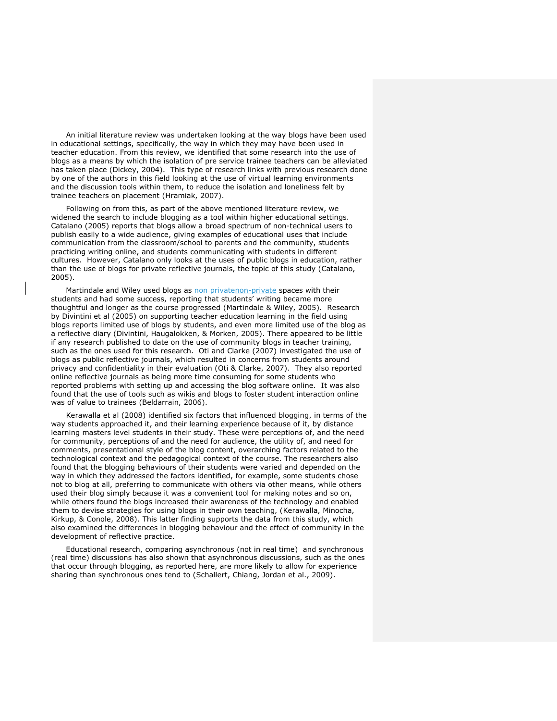An initial literature review was undertaken looking at the way blogs have been used in educational settings, specifically, the way in which they may have been used in teacher education. From this review, we identified that some research into the use of blogs as a means by which the isolation of pre service trainee teachers can be alleviated has taken place (Dickey, 2004). This type of research links with previous research done by one of the authors in this field looking at the use of virtual learning environments and the discussion tools within them, to reduce the isolation and loneliness felt by trainee teachers on placement (Hramiak, 2007).

 Following on from this, as part of the above mentioned literature review, we widened the search to include blogging as a tool within higher educational settings. Catalano (2005) reports that blogs allow a broad spectrum of non-technical users to publish easily to a wide audience, giving examples of educational uses that include communication from the classroom/school to parents and the community, students practicing writing online, and students communicating with students in different cultures. However, Catalano only looks at the uses of public blogs in education, rather than the use of blogs for private reflective journals, the topic of this study (Catalano, 2005).

Martindale and Wiley used blogs as non-privatenon-private spaces with their students and had some success, reporting that students' writing became more thoughtful and longer as the course progressed (Martindale & Wiley, 2005). Research by Divintini et al (2005) on supporting teacher education learning in the field using blogs reports limited use of blogs by students, and even more limited use of the blog as a reflective diary (Divintini, Haugalokken, & Morken, 2005). There appeared to be little if any research published to date on the use of community blogs in teacher training, such as the ones used for this research. Oti and Clarke (2007) investigated the use of blogs as public reflective journals, which resulted in concerns from students around privacy and confidentiality in their evaluation (Oti & Clarke, 2007). They also reported online reflective journals as being more time consuming for some students who reported problems with setting up and accessing the blog software online. It was also found that the use of tools such as wikis and blogs to foster student interaction online was of value to trainees (Beldarrain, 2006).

 Kerawalla et al (2008) identified six factors that influenced blogging, in terms of the way students approached it, and their learning experience because of it, by distance learning masters level students in their study. These were perceptions of, and the need for community, perceptions of and the need for audience, the utility of, and need for comments, presentational style of the blog content, overarching factors related to the technological context and the pedagogical context of the course. The researchers also found that the blogging behaviours of their students were varied and depended on the way in which they addressed the factors identified, for example, some students chose not to blog at all, preferring to communicate with others via other means, while others used their blog simply because it was a convenient tool for making notes and so on, while others found the blogs increased their awareness of the technology and enabled them to devise strategies for using blogs in their own teaching, (Kerawalla, Minocha, Kirkup, & Conole, 2008). This latter finding supports the data from this study, which also examined the differences in blogging behaviour and the effect of community in the development of reflective practice.

 Educational research, comparing asynchronous (not in real time) and synchronous (real time) discussions has also shown that asynchronous discussions, such as the ones that occur through blogging, as reported here, are more likely to allow for experience sharing than synchronous ones tend to (Schallert, Chiang, Jordan et al., 2009).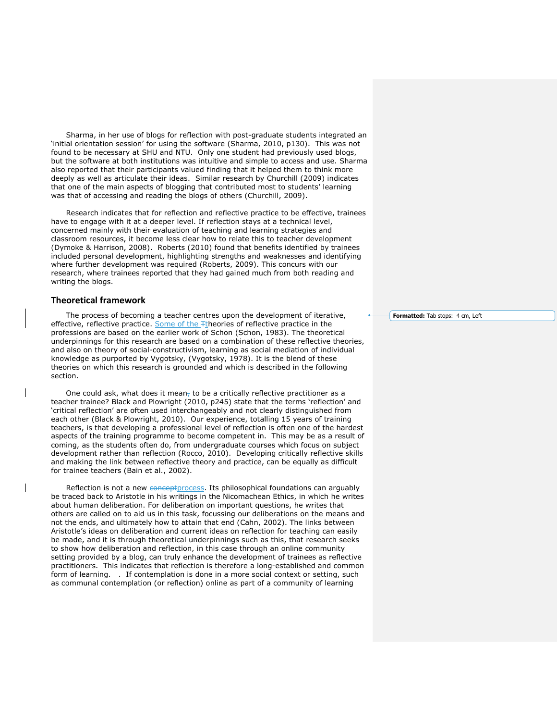Sharma, in her use of blogs for reflection with post-graduate students integrated an 'initial orientation session' for using the software (Sharma, 2010, p130). This was not found to be necessary at SHU and NTU. Only one student had previously used blogs, but the software at both institutions was intuitive and simple to access and use. Sharma also reported that their participants valued finding that it helped them to think more deeply as well as articulate their ideas. Similar research by Churchill (2009) indicates that one of the main aspects of blogging that contributed most to students' learning was that of accessing and reading the blogs of others (Churchill, 2009).

 Research indicates that for reflection and reflective practice to be effective, trainees have to engage with it at a deeper level. If reflection stays at a technical level, concerned mainly with their evaluation of teaching and learning strategies and classroom resources, it become less clear how to relate this to teacher development (Dymoke & Harrison, 2008). Roberts (2010) found that benefits identified by trainees included personal development, highlighting strengths and weaknesses and identifying where further development was required (Roberts, 2009). This concurs with our research, where trainees reported that they had gained much from both reading and writing the blogs.

## **Theoretical framework**

 The process of becoming a teacher centres upon the development of iterative, effective, reflective practice. Some of the Ttheories of reflective practice in the professions are based on the earlier work of Schon (Schon, 1983). The theoretical underpinnings for this research are based on a combination of these reflective theories, and also on theory of social-constructivism, learning as social mediation of individual knowledge as purported by Vygotsky, (Vygotsky, 1978). It is the blend of these theories on which this research is grounded and which is described in the following section.

One could ask, what does it mean, to be a critically reflective practitioner as a teacher trainee? Black and Plowright (2010, p245) state that the terms 'reflection' and 'critical reflection' are often used interchangeably and not clearly distinguished from each other (Black & Plowright, 2010). Our experience, totalling 15 years of training teachers, is that developing a professional level of reflection is often one of the hardest aspects of the training programme to become competent in. This may be as a result of coming, as the students often do, from undergraduate courses which focus on subject development rather than reflection (Rocco, 2010). Developing critically reflective skills and making the link between reflective theory and practice, can be equally as difficult for trainee teachers (Bain et al., 2002).

Reflection is not a new concept process. Its philosophical foundations can arguably be traced back to Aristotle in his writings in the Nicomachean Ethics, in which he writes about human deliberation. For deliberation on important questions, he writes that others are called on to aid us in this task, focussing our deliberations on the means and not the ends, and ultimately how to attain that end (Cahn, 2002). The links between Aristotle's ideas on deliberation and current ideas on reflection for teaching can easily be made, and it is through theoretical underpinnings such as this, that research seeks to show how deliberation and reflection, in this case through an online community setting provided by a blog, can truly enhance the development of trainees as reflective practitioners. This indicates that reflection is therefore a long-established and common form of learning. . If contemplation is done in a more social context or setting, such as communal contemplation (or reflection) online as part of a community of learning

**Formatted:** Tab stops: 4 cm, Left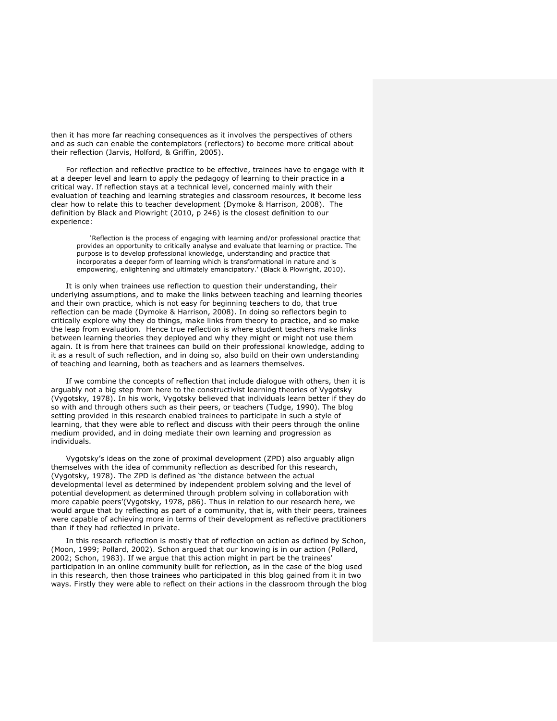then it has more far reaching consequences as it involves the perspectives of others and as such can enable the contemplators (reflectors) to become more critical about their reflection (Jarvis, Holford, & Griffin, 2005).

 For reflection and reflective practice to be effective, trainees have to engage with it at a deeper level and learn to apply the pedagogy of learning to their practice in a critical way. If reflection stays at a technical level, concerned mainly with their evaluation of teaching and learning strategies and classroom resources, it become less clear how to relate this to teacher development (Dymoke & Harrison, 2008). The definition by Black and Plowright (2010, p 246) is the closest definition to our experience:

 'Reflection is the process of engaging with learning and/or professional practice that provides an opportunity to critically analyse and evaluate that learning or practice. The purpose is to develop professional knowledge, understanding and practice that incorporates a deeper form of learning which is transformational in nature and is empowering, enlightening and ultimately emancipatory.' (Black & Plowright, 2010).

 It is only when trainees use reflection to question their understanding, their underlying assumptions, and to make the links between teaching and learning theories and their own practice, which is not easy for beginning teachers to do, that true reflection can be made (Dymoke & Harrison, 2008). In doing so reflectors begin to critically explore why they do things, make links from theory to practice, and so make the leap from evaluation. Hence true reflection is where student teachers make links between learning theories they deployed and why they might or might not use them again. It is from here that trainees can build on their professional knowledge, adding to it as a result of such reflection, and in doing so, also build on their own understanding of teaching and learning, both as teachers and as learners themselves.

 If we combine the concepts of reflection that include dialogue with others, then it is arguably not a big step from here to the constructivist learning theories of Vygotsky (Vygotsky, 1978). In his work, Vygotsky believed that individuals learn better if they do so with and through others such as their peers, or teachers (Tudge, 1990). The blog setting provided in this research enabled trainees to participate in such a style of learning, that they were able to reflect and discuss with their peers through the online medium provided, and in doing mediate their own learning and progression as individuals.

 Vygotsky's ideas on the zone of proximal development (ZPD) also arguably align themselves with the idea of community reflection as described for this research, (Vygotsky, 1978). The ZPD is defined as 'the distance between the actual developmental level as determined by independent problem solving and the level of potential development as determined through problem solving in collaboration with more capable peers'(Vygotsky, 1978, p86). Thus in relation to our research here, we would argue that by reflecting as part of a community, that is, with their peers, trainees were capable of achieving more in terms of their development as reflective practitioners than if they had reflected in private.

 In this research reflection is mostly that of reflection on action as defined by Schon, (Moon, 1999; Pollard, 2002). Schon argued that our knowing is in our action (Pollard, 2002; Schon, 1983). If we argue that this action might in part be the trainees' participation in an online community built for reflection, as in the case of the blog used in this research, then those trainees who participated in this blog gained from it in two ways. Firstly they were able to reflect on their actions in the classroom through the blog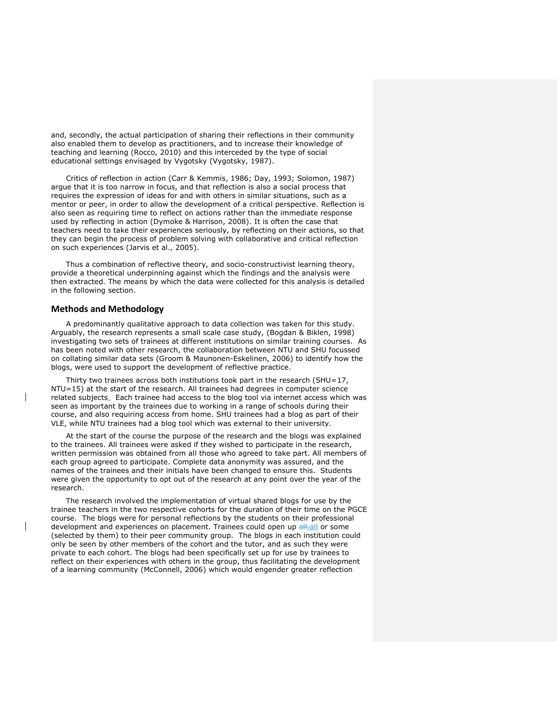and, secondly, the actual participation of sharing their reflections in their community also enabled them to develop as practitioners, and to increase their knowledge of teaching and learning (Rocco, 2010) and this interceded by the type of social educational settings envisaged by Vygotsky (Vygotsky, 1987).

 Critics of reflection in action (Carr & Kemmis, 1986; Day, 1993; Solomon, 1987) argue that it is too narrow in focus, and that reflection is also a social process that requires the expression of ideas for and with others in similar situations, such as a mentor or peer, in order to allow the development of a critical perspective. Reflection is also seen as requiring time to reflect on actions rather than the immediate response used by reflecting in action (Dymoke & Harrison, 2008). It is often the case that teachers need to take their experiences seriously, by reflecting on their actions, so that they can begin the process of problem solving with collaborative and critical reflection on such experiences (Jarvis et al., 2005).

 Thus a combination of reflective theory, and socio-constructivist learning theory, provide a theoretical underpinning against which the findings and the analysis were then extracted. The means by which the data were collected for this analysis is detailed in the following section.

## **Methods and Methodology**

 A predominantly qualitative approach to data collection was taken for this study. Arguably, the research represents a small scale case study, (Bogdan & Biklen, 1998) investigating two sets of trainees at different institutions on similar training courses. As has been noted with other research, the collaboration between NTU and SHU focussed on collating similar data sets (Groom & Maunonen-Eskelinen, 2006) to identify how the blogs, were used to support the development of reflective practice.

Thirty two trainees across both institutions took part in the research  $(SHU=17,$ NTU=15) at the start of the research. All trainees had degrees in computer science related subjects. Each trainee had access to the blog tool via internet access which was seen as important by the trainees due to working in a range of schools during their course, and also requiring access from home. SHU trainees had a blog as part of their VLE, while NTU trainees had a blog tool which was external to their university.

 At the start of the course the purpose of the research and the blogs was explained to the trainees. All trainees were asked if they wished to participate in the research, written permission was obtained from all those who agreed to take part. All members of each group agreed to participate. Complete data anonymity was assured, and the names of the trainees and their initials have been changed to ensure this. Students were given the opportunity to opt out of the research at any point over the year of the research.

 The research involved the implementation of virtual shared blogs for use by the trainee teachers in the two respective cohorts for the duration of their time on the PGCE course. The blogs were for personal reflections by the students on their professional development and experiences on placement. Trainees could open up all, all or some (selected by them) to their peer community group. The blogs in each institution could only be seen by other members of the cohort and the tutor, and as such they were private to each cohort. The blogs had been specifically set up for use by trainees to reflect on their experiences with others in the group, thus facilitating the development of a learning community (McConnell, 2006) which would engender greater reflection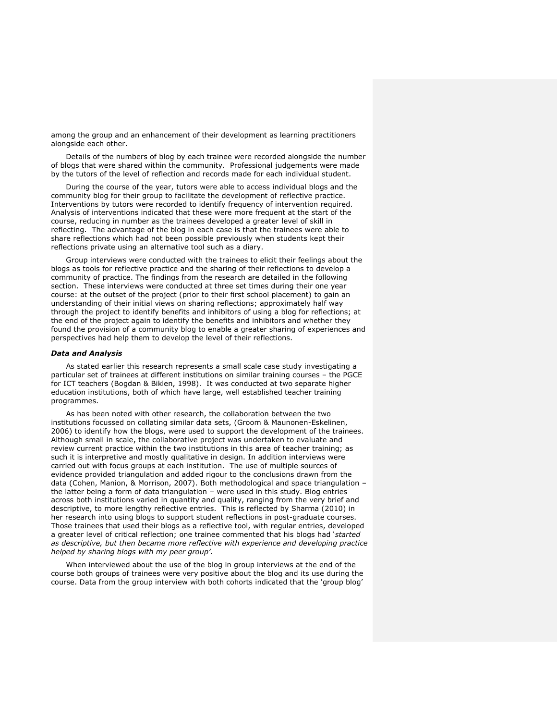among the group and an enhancement of their development as learning practitioners alongside each other.

 Details of the numbers of blog by each trainee were recorded alongside the number of blogs that were shared within the community. Professional judgements were made by the tutors of the level of reflection and records made for each individual student.

 During the course of the year, tutors were able to access individual blogs and the community blog for their group to facilitate the development of reflective practice. Interventions by tutors were recorded to identify frequency of intervention required. Analysis of interventions indicated that these were more frequent at the start of the course, reducing in number as the trainees developed a greater level of skill in reflecting. The advantage of the blog in each case is that the trainees were able to share reflections which had not been possible previously when students kept their reflections private using an alternative tool such as a diary.

 Group interviews were conducted with the trainees to elicit their feelings about the blogs as tools for reflective practice and the sharing of their reflections to develop a community of practice. The findings from the research are detailed in the following section. These interviews were conducted at three set times during their one year course: at the outset of the project (prior to their first school placement) to gain an understanding of their initial views on sharing reflections; approximately half way through the project to identify benefits and inhibitors of using a blog for reflections; at the end of the project again to identify the benefits and inhibitors and whether they found the provision of a community blog to enable a greater sharing of experiences and perspectives had help them to develop the level of their reflections.

#### *Data and Analysis*

 As stated earlier this research represents a small scale case study investigating a particular set of trainees at different institutions on similar training courses – the PGCE for ICT teachers (Bogdan & Biklen, 1998). It was conducted at two separate higher education institutions, both of which have large, well established teacher training programmes.

 As has been noted with other research, the collaboration between the two institutions focussed on collating similar data sets, (Groom & Maunonen-Eskelinen, 2006) to identify how the blogs, were used to support the development of the trainees. Although small in scale, the collaborative project was undertaken to evaluate and review current practice within the two institutions in this area of teacher training; as such it is interpretive and mostly qualitative in design. In addition interviews were carried out with focus groups at each institution. The use of multiple sources of evidence provided triangulation and added rigour to the conclusions drawn from the data (Cohen, Manion, & Morrison, 2007). Both methodological and space triangulation – the latter being a form of data triangulation – were used in this study. Blog entries across both institutions varied in quantity and quality, ranging from the very brief and descriptive, to more lengthy reflective entries. This is reflected by Sharma (2010) in her research into using blogs to support student reflections in post-graduate courses. Those trainees that used their blogs as a reflective tool, with regular entries, developed a greater level of critical reflection; one trainee commented that his blogs had '*started as descriptive, but then became more reflective with experience and developing practice helped by sharing blogs with my peer group'.*

 When interviewed about the use of the blog in group interviews at the end of the course both groups of trainees were very positive about the blog and its use during the course. Data from the group interview with both cohorts indicated that the 'group blog'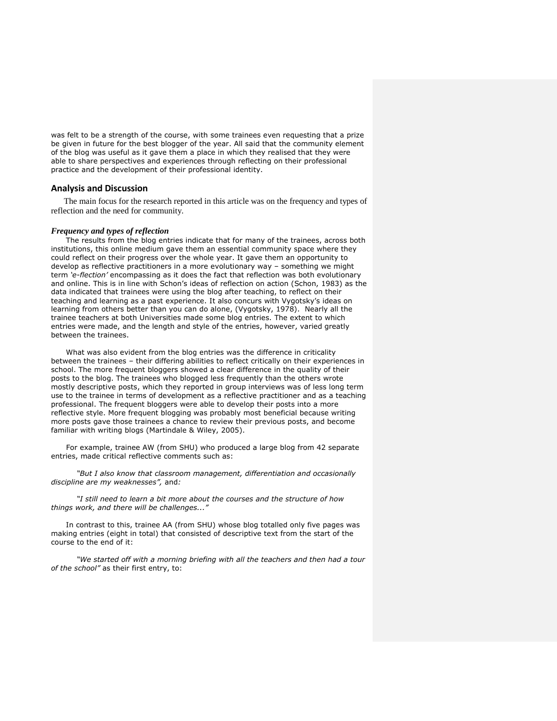was felt to be a strength of the course, with some trainees even requesting that a prize be given in future for the best blogger of the year. All said that the community element of the blog was useful as it gave them a place in which they realised that they were able to share perspectives and experiences through reflecting on their professional practice and the development of their professional identity.

# **Analysis and Discussion**

 The main focus for the research reported in this article was on the frequency and types of reflection and the need for community.

# *Frequency and types of reflection*

 The results from the blog entries indicate that for many of the trainees, across both institutions, this online medium gave them an essential community space where they could reflect on their progress over the whole year. It gave them an opportunity to develop as reflective practitioners in a more evolutionary way – something we might term *'e-flection'* encompassing as it does the fact that reflection was both evolutionary and online. This is in line with Schon's ideas of reflection on action (Schon, 1983) as the data indicated that trainees were using the blog after teaching, to reflect on their teaching and learning as a past experience. It also concurs with Vygotsky's ideas on learning from others better than you can do alone, (Vygotsky, 1978). Nearly all the trainee teachers at both Universities made some blog entries. The extent to which entries were made, and the length and style of the entries, however, varied greatly between the trainees.

 What was also evident from the blog entries was the difference in criticality between the trainees – their differing abilities to reflect critically on their experiences in school. The more frequent bloggers showed a clear difference in the quality of their posts to the blog. The trainees who blogged less frequently than the others wrote mostly descriptive posts, which they reported in group interviews was of less long term use to the trainee in terms of development as a reflective practitioner and as a teaching professional. The frequent bloggers were able to develop their posts into a more reflective style. More frequent blogging was probably most beneficial because writing more posts gave those trainees a chance to review their previous posts, and become familiar with writing blogs (Martindale & Wiley, 2005).

 For example, trainee AW (from SHU) who produced a large blog from 42 separate entries, made critical reflective comments such as:

*"But I also know that classroom management, differentiation and occasionally discipline are my weaknesses",* and*:*

*"I still need to learn a bit more about the courses and the structure of how things work, and there will be challenges..."*

 In contrast to this, trainee AA (from SHU) whose blog totalled only five pages was making entries (eight in total) that consisted of descriptive text from the start of the course to the end of it:

*"We started off with a morning briefing with all the teachers and then had a tour of the school"* as their first entry, to: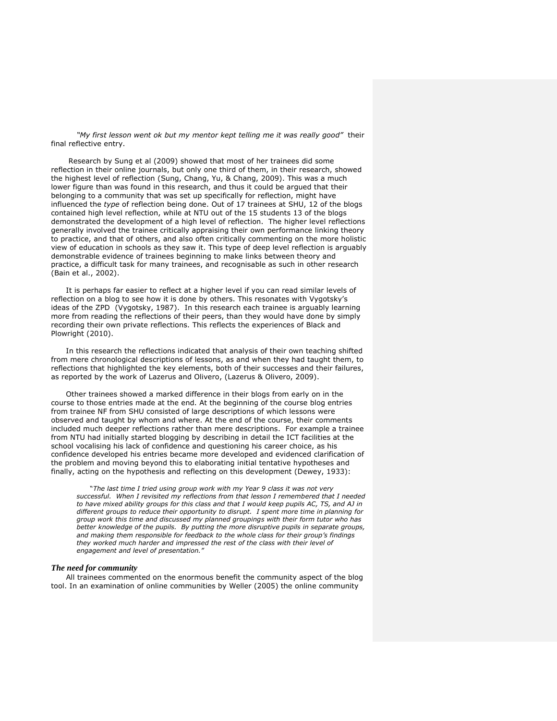*"My first lesson went ok but my mentor kept telling me it was really good"* their final reflective entry.

 Research by Sung et al (2009) showed that most of her trainees did some reflection in their online journals, but only one third of them, in their research, showed the highest level of reflection (Sung, Chang, Yu, & Chang, 2009). This was a much lower figure than was found in this research, and thus it could be argued that their belonging to a community that was set up specifically for reflection, might have influenced the *type* of reflection being done. Out of 17 trainees at SHU, 12 of the blogs contained high level reflection, while at NTU out of the 15 students 13 of the blogs demonstrated the development of a high level of reflection. The higher level reflections generally involved the trainee critically appraising their own performance linking theory to practice, and that of others, and also often critically commenting on the more holistic view of education in schools as they saw it. This type of deep level reflection is arguably demonstrable evidence of trainees beginning to make links between theory and practice, a difficult task for many trainees, and recognisable as such in other research (Bain et al., 2002).

 It is perhaps far easier to reflect at a higher level if you can read similar levels of reflection on a blog to see how it is done by others. This resonates with Vygotsky's ideas of the ZPD (Vygotsky, 1987). In this research each trainee is arguably learning more from reading the reflections of their peers, than they would have done by simply recording their own private reflections. This reflects the experiences of Black and Plowright (2010).

 In this research the reflections indicated that analysis of their own teaching shifted from mere chronological descriptions of lessons, as and when they had taught them, to reflections that highlighted the key elements, both of their successes and their failures, as reported by the work of Lazerus and Olivero, (Lazerus & Olivero, 2009).

 Other trainees showed a marked difference in their blogs from early on in the course to those entries made at the end. At the beginning of the course blog entries from trainee NF from SHU consisted of large descriptions of which lessons were observed and taught by whom and where. At the end of the course, their comments included much deeper reflections rather than mere descriptions. For example a trainee from NTU had initially started blogging by describing in detail the ICT facilities at the school vocalising his lack of confidence and questioning his career choice, as his confidence developed his entries became more developed and evidenced clarification of the problem and moving beyond this to elaborating initial tentative hypotheses and finally, acting on the hypothesis and reflecting on this development (Dewey, 1933):

 "*The last time I tried using group work with my Year 9 class it was not very successful. When I revisited my reflections from that lesson I remembered that I needed to have mixed ability groups for this class and that I would keep pupils AC, TS, and AJ in different groups to reduce their opportunity to disrupt. I spent more time in planning for group work this time and discussed my planned groupings with their form tutor who has better knowledge of the pupils. By putting the more disruptive pupils in separate groups, and making them responsible for feedback to the whole class for their group's findings they worked much harder and impressed the rest of the class with their level of engagement and level of presentation."*

#### *The need for community*

 All trainees commented on the enormous benefit the community aspect of the blog tool. In an examination of online communities by Weller (2005) the online community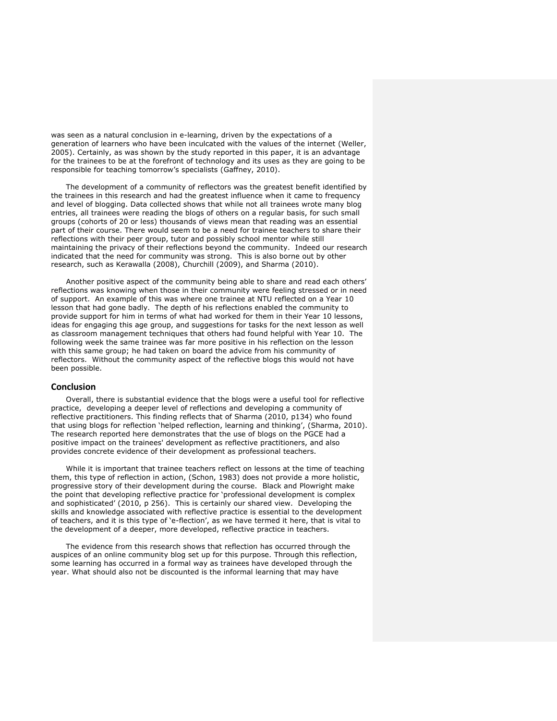was seen as a natural conclusion in e-learning, driven by the expectations of a generation of learners who have been inculcated with the values of the internet (Weller, 2005). Certainly, as was shown by the study reported in this paper, it is an advantage for the trainees to be at the forefront of technology and its uses as they are going to be responsible for teaching tomorrow's specialists (Gaffney, 2010).

 The development of a community of reflectors was the greatest benefit identified by the trainees in this research and had the greatest influence when it came to frequency and level of blogging. Data collected shows that while not all trainees wrote many blog entries, all trainees were reading the blogs of others on a regular basis, for such small groups (cohorts of 20 or less) thousands of views mean that reading was an essential part of their course. There would seem to be a need for trainee teachers to share their reflections with their peer group, tutor and possibly school mentor while still maintaining the privacy of their reflections beyond the community. Indeed our research indicated that the need for community was strong. This is also borne out by other research, such as Kerawalla (2008), Churchill (2009), and Sharma (2010).

 Another positive aspect of the community being able to share and read each others' reflections was knowing when those in their community were feeling stressed or in need of support. An example of this was where one trainee at NTU reflected on a Year 10 lesson that had gone badly. The depth of his reflections enabled the community to provide support for him in terms of what had worked for them in their Year 10 lessons, ideas for engaging this age group, and suggestions for tasks for the next lesson as well as classroom management techniques that others had found helpful with Year 10. The following week the same trainee was far more positive in his reflection on the lesson with this same group; he had taken on board the advice from his community of reflectors. Without the community aspect of the reflective blogs this would not have been possible.

#### **Conclusion**

 Overall, there is substantial evidence that the blogs were a useful tool for reflective practice, developing a deeper level of reflections and developing a community of reflective practitioners. This finding reflects that of Sharma (2010, p134) who found that using blogs for reflection 'helped reflection, learning and thinking', (Sharma, 2010). The research reported here demonstrates that the use of blogs on the PGCE had a positive impact on the trainees' development as reflective practitioners, and also provides concrete evidence of their development as professional teachers.

 While it is important that trainee teachers reflect on lessons at the time of teaching them, this type of reflection in action, (Schon, 1983) does not provide a more holistic, progressive story of their development during the course. Black and Plowright make the point that developing reflective practice for 'professional development is complex and sophisticated' (2010, p 256). This is certainly our shared view. Developing the skills and knowledge associated with reflective practice is essential to the development of teachers, and it is this type of 'e-flection', as we have termed it here, that is vital to the development of a deeper, more developed, reflective practice in teachers.

 The evidence from this research shows that reflection has occurred through the auspices of an online community blog set up for this purpose. Through this reflection, some learning has occurred in a formal way as trainees have developed through the year. What should also not be discounted is the informal learning that may have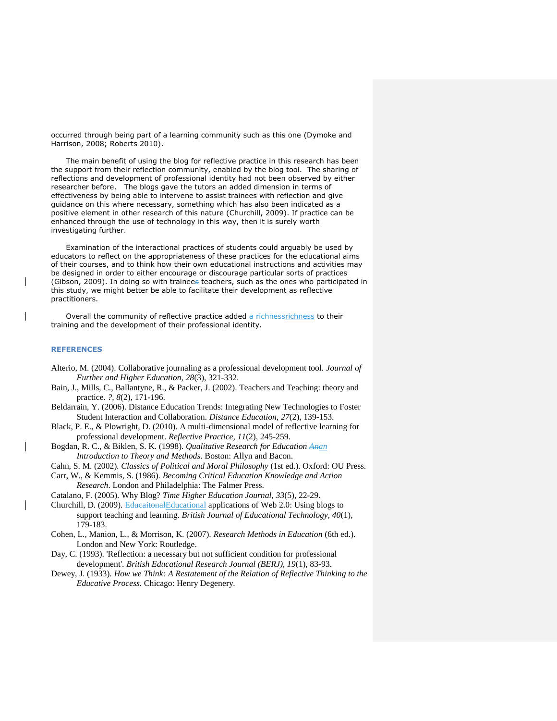occurred through being part of a learning community such as this one (Dymoke and Harrison, 2008; Roberts 2010).

 The main benefit of using the blog for reflective practice in this research has been the support from their reflection community, enabled by the blog tool. The sharing of reflections and development of professional identity had not been observed by either researcher before. The blogs gave the tutors an added dimension in terms of effectiveness by being able to intervene to assist trainees with reflection and give guidance on this where necessary, something which has also been indicated as a positive element in other research of this nature (Churchill, 2009). If practice can be enhanced through the use of technology in this way, then it is surely worth investigating further.

 Examination of the interactional practices of students could arguably be used by educators to reflect on the appropriateness of these practices for the educational aims of their courses, and to think how their own educational instructions and activities may be designed in order to either encourage or discourage particular sorts of practices (Gibson, 2009). In doing so with trainees teachers, such as the ones who participated in this study, we might better be able to facilitate their development as reflective practitioners.

Overall the community of reflective practice added a richnessrichness to their training and the development of their professional identity.

## **REFERENCES**

 $\overline{\phantom{a}}$ 

 $\overline{\phantom{a}}$ 

- Alterio, M. (2004). Collaborative journaling as a professional development tool. *Journal of Further and Higher Education, 28*(3), 321-332.
- Bain, J., Mills, C., Ballantyne, R., & Packer, J. (2002). Teachers and Teaching: theory and practice. *?, 8*(2), 171-196.
- Beldarrain, Y. (2006). Distance Education Trends: Integrating New Technologies to Foster Student Interaction and Collaboration. *Distance Education, 27*(2), 139-153.
- Black, P. E., & Plowright, D. (2010). A multi-dimensional model of reflective learning for professional development. *Reflective Practice, 11*(2), 245-259.
- Bogdan, R. C., & Biklen, S. K. (1998). *Qualitative Research for Education Anan Introduction to Theory and Methods*. Boston: Allyn and Bacon.
- Cahn, S. M. (2002). *Classics of Political and Moral Philosophy* (1st ed.). Oxford: OU Press.
- Carr, W., & Kemmis, S. (1986). *Becoming Critical Education Knowledge and Action Research*. London and Philadelphia: The Falmer Press.
- Catalano, F. (2005). Why Blog? *Time Higher Education Journal, 33*(5), 22-29.
- Churchill, D. (2009). EducaitonalEducational applications of Web 2.0: Using blogs to support teaching and learning. *British Journal of Educational Technology, 40*(1), 179-183.
- Cohen, L., Manion, L., & Morrison, K. (2007). *Research Methods in Education* (6th ed.). London and New York: Routledge.
- Day, C. (1993). 'Reflection: a necessary but not sufficient condition for professional development'. *British Educational Research Journal (BERJ), 19*(1), 83-93.
- Dewey, J. (1933). *How we Think: A Restatement of the Relation of Reflective Thinking to the Educative Process*. Chicago: Henry Degenery.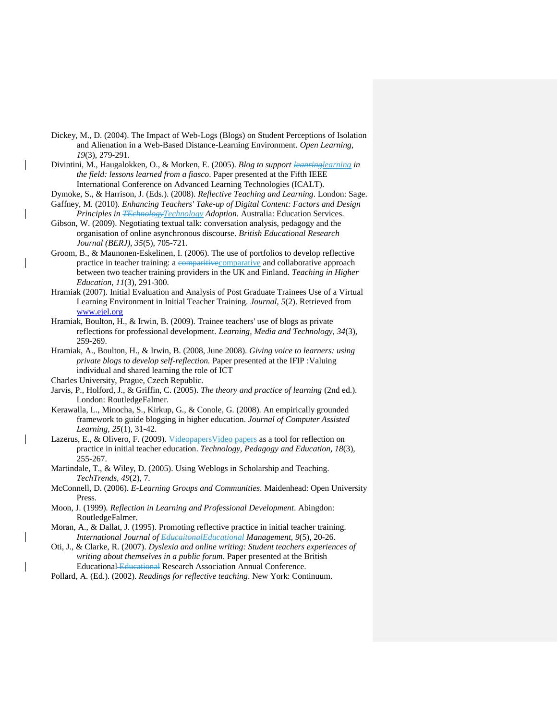Dickey, M., D. (2004). The Impact of Web-Logs (Blogs) on Student Perceptions of Isolation and Alienation in a Web-Based Distance-Learning Environment. *Open Learning, 19*(3), 279-291.

Divintini, M., Haugalokken, O., & Morken, E. (2005). *Blog to support leanringlearning in the field: lessons learned from a fiasco*. Paper presented at the Fifth IEEE International Conference on Advanced Learning Technologies (ICALT).

Dymoke, S., & Harrison, J. (Eds.). (2008). *Reflective Teaching and Learning*. London: Sage.

Gaffney, M. (2010). *Enhancing Teachers' Take-up of Digital Content: Factors and Design Principles in TEchnologyTechnology Adoption*. Australia: Education Services.

Gibson, W. (2009). Negotiating textual talk: conversation analysis, pedagogy and the organisation of online asynchronous discourse. *British Educational Research Journal (BERJ), 35*(5), 705-721.

Groom, B., & Maunonen-Eskelinen, I. (2006). The use of portfolios to develop reflective practice in teacher training: a comparitive comparative and collaborative approach between two teacher training providers in the UK and Finland. *Teaching in Higher Education, 11*(3), 291-300.

Hramiak (2007). Initial Evaluation and Analysis of Post Graduate Trainees Use of a Virtual Learning Environment in Initial Teacher Training. *Journal, 5*(2). Retrieved from [www.ejel.org](http://www.ejel.org/)

Hramiak, Boulton, H., & Irwin, B. (2009). Trainee teachers' use of blogs as private reflections for professional development. *Learning, Media and Technology, 34*(3), 259-269.

Hramiak, A., Boulton, H., & Irwin, B. (2008, June 2008). *Giving voice to learners: using private blogs to develop self-reflection.* Paper presented at the IFIP :Valuing individual and shared learning the role of ICT

Charles University, Prague, Czech Republic.

Kerawalla, L., Minocha, S., Kirkup, G., & Conole, G. (2008). An empirically grounded framework to guide blogging in higher education. *Journal of Computer Assisted Learning, 25*(1), 31-42.

- Lazerus, E., & Olivero, F. (2009). Videopapers Video papers as a tool for reflection on practice in initial teacher education. *Technology, Pedagogy and Education, 18*(3), 255-267.
- Martindale, T., & Wiley, D. (2005). Using Weblogs in Scholarship and Teaching. *TechTrends, 49*(2), 7.

McConnell, D. (2006). *E-Learning Groups and Communities*. Maidenhead: Open University Press.

Moon, J. (1999). *Reflection in Learning and Professional Development*. Abingdon: RoutledgeFalmer.

Moran, A., & Dallat, J. (1995). Promoting reflective practice in initial teacher training. *International Journal of EducaitonalEducational Management, 9*(5), 20-26.

Oti, J., & Clarke, R. (2007). *Dyslexia and online writing: Student teachers experiences of writing about themselves in a public forum*. Paper presented at the British Educational Educational Research Association Annual Conference.

Pollard, A. (Ed.). (2002). *Readings for reflective teaching*. New York: Continuum.

Jarvis, P., Holford, J., & Griffin, C. (2005). *The theory and practice of learning* (2nd ed.). London: RoutledgeFalmer.